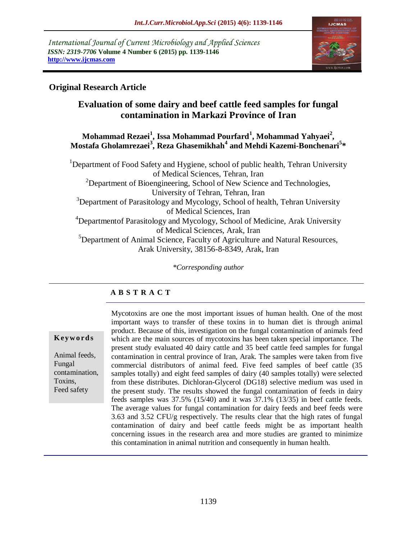*International Journal of Current Microbiology and Applied Sciences ISSN: 2319-7706* **Volume 4 Number 6 (2015) pp. 1139-1146 http://www.ijcmas.com** 



# **Original Research Article**

# **Evaluation of some dairy and beef cattle feed samples for fungal contamination in Markazi Province of Iran**

#### **Mohammad Rezaei<sup>1</sup> , Issa Mohammad Pourfard<sup>1</sup> , Mohammad Yahyaei<sup>2</sup> , Mostafa Gholamrezaei<sup>3</sup> , Reza Ghasemikhah<sup>4</sup> and Mehdi Kazemi-Bonchenari<sup>5</sup> \***

<sup>1</sup>Department of Food Safety and Hygiene, school of public health, Tehran University of Medical Sciences, Tehran, Iran  $2$ Department of Bioengineering, School of New Science and Technologies, University of Tehran, Tehran, Iran  $3$ Department of Parasitology and Mycology, School of health, Tehran University of Medical Sciences, Iran <sup>4</sup>Departmentof Parasitology and Mycology, School of Medicine, Arak University of Medical Sciences, Arak, Iran <sup>5</sup>Department of Animal Science, Faculty of Agriculture and Natural Resources, Arak University, 38156-8-8349, Arak, Iran

*\*Corresponding author*

# **A B S T R A C T**

**K ey w o rd s**

Animal feeds, Fungal contamination, Toxins, Feed safety

Mycotoxins are one the most important issues of human health. One of the most important ways to transfer of these toxins in to human diet is through animal product. Because of this, investigation on the fungal contamination of animals feed which are the main sources of mycotoxins has been taken special importance. The present study evaluated 40 dairy cattle and 35 beef cattle feed samples for fungal contamination in central province of Iran, Arak. The samples were taken from five commercial distributors of animal feed. Five feed samples of beef cattle (35 samples totally) and eight feed samples of dairy (40 samples totally) were selected from these distributes. Dichloran-Glycerol (DG18) selective medium was used in the present study. The results showed the fungal contamination of feeds in dairy feeds samples was 37.5% (15/40) and it was 37.1% (13/35) in beef cattle feeds. The average values for fungal contamination for dairy feeds and beef feeds were 3.63 and 3.52 CFU/g respectively. The results clear that the high rates of fungal contamination of dairy and beef cattle feeds might be as important health concerning issues in the research area and more studies are granted to minimize this contamination in animal nutrition and consequently in human health.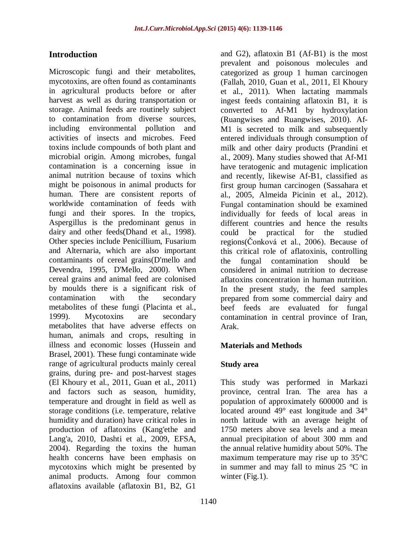# **Introduction**

Microscopic fungi and their metabolites, mycotoxins, are often found as contaminants in agricultural products before or after harvest as well as during transportation or storage. Animal feeds are routinely subject to contamination from diverse sources, including environmental pollution and activities of insects and microbes. Feed toxins include compounds of both plant and microbial origin. Among microbes, fungal contamination is a concerning issue in animal nutrition because of toxins which might be poisonous in animal products for human. There are consistent reports of worldwide contamination of feeds with fungi and their spores. In the tropics, Aspergillus is the predominant genus in dairy and other feeds[\(Dhand et al., 1998\)](#page-5-0). Other species include Penicillium, Fusarium and Alternaria, which are also important contaminants of cereal grains[\(D'mello and](#page-5-1)  [Devendra, 1995,](#page-5-1) [D'Mello, 2000\)](#page-5-2). When cereal grains and animal feed are colonised by moulds there is a significant risk of contamination with the secondary metabolites of these fungi [\(Placinta et al.,](#page-6-0)  [1999\)](#page-6-0). Mycotoxins are secondary metabolites that have adverse effects on human, animals and crops, resulting in illness and economic losses [\(Hussein and](#page-6-1)  [Brasel, 2001\)](#page-6-1). These fungi contaminate wide range of agricultural products mainly cereal grains, during pre- and post-harvest stages [\(El Khoury et al., 2011,](#page-6-2) [Guan et al., 2011\)](#page-6-3) and factors such as season, humidity, temperature and drought in field as well as storage conditions (i.e. temperature, relative humidity and duration) have critical roles in production of aflatoxins [\(Kang'ethe and](#page-6-4)  [Lang'a, 2010,](#page-6-4) [Dashti et al., 2009,](#page-5-3) [EFSA,](#page-6-5)  [2004\)](#page-6-5). Regarding the toxins the human health concerns have been emphasis on mycotoxins which might be presented by animal products. Among four common aflatoxins available (aflatoxin B1, B2, G1

annual precipitation of about 300 mm and the annual relative humidity about 50%. The maximum temperature may rise up to 35°C in summer and may fall to minus 25 °C in winter (Fig.1).

and G2), aflatoxin B1 (Af-B1) is the most prevalent and poisonous molecules and categorized as group 1 human carcinogen [\(Fallah, 2010,](#page-6-6) [Guan et al., 2011,](#page-6-3) [El Khoury](#page-6-2)  [et al., 2011\)](#page-6-2). When lactating mammals ingest feeds containing aflatoxin B1, it is converted to Af-M1 by hydroxylation [\(Ruangwises and Ruangwises, 2010\)](#page-7-0). Af-M1 is secreted to milk and subsequently entered individuals through consumption of milk and other dairy products [\(Prandini et](#page-6-7)  [al., 2009\)](#page-6-7). Many studies showed that Af-M1 have teratogenic and mutagenic implication and recently, likewise Af-B1, classified as first group human carcinogen [\(Sassahara et](#page-7-1)  [al., 2005,](#page-7-1) [Almeida Picinin et al., 2012\)](#page-5-4). Fungal contamination should be examined individually for feeds of local areas in different countries and hence the results could be practical for the studied regions[\(Čonková et al., 2006\)](#page-5-5). Because of this critical role of aflatoxinis, controlling the fungal contamination should be considered in animal nutrition to decrease aflatoxins concentration in human nutrition. In the present study, the feed samples prepared from some commercial dairy and beef feeds are evaluated for fungal contamination in central province of Iran, Arak.

## **Materials and Methods**

This study was performed in Markazi province, central Iran. The area has a population of approximately 600000 and is located around 49° east longitude and 34° north latitude with an average height of 1750 meters above sea levels and a mean

#### **Study area**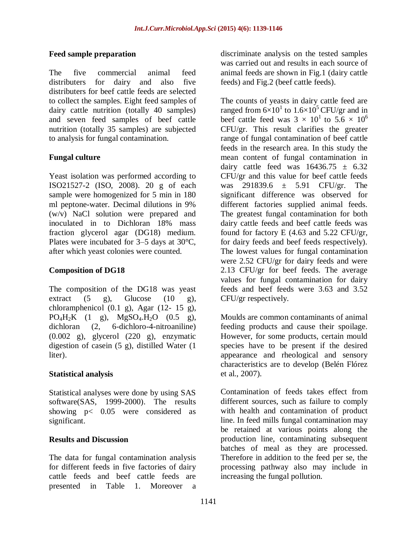#### **Feed sample preparation**

The five commercial animal feed distributers for dairy and also five distributers for beef cattle feeds are selected to collect the samples. Eight feed samples of dairy cattle nutrition (totally 40 samples) and seven feed samples of beef cattle nutrition (totally 35 samples) are subjected to analysis for fungal contamination.

# **Fungal culture**

Yeast isolation was performed according to ISO21527-2 [\(ISO, 2008\)](#page-6-8). 20 g of each sample were homogenized for 5 min in 180 ml peptone-water. Decimal dilutions in 9% (w/v) NaCl solution were prepared and inoculated in to Dichloran 18% mass fraction glycerol agar (DG18) medium. Plates were incubated for 3–5 days at 30°C, after which yeast colonies were counted.

## **Composition of DG18**

The composition of the DG18 was yeast extract  $(5 \text{ g})$ , Glucose  $(10 \text{ g})$ , chloramphenicol  $(0.1 \text{ g})$ , Agar  $(12 - 15 \text{ g})$ ,  $PO_4H_2K$  (1 g),  $MgSO_4.H_2O$  (0.5 g), dichloran (2, 6-dichloro-4-nitroaniline) (0.002 g), glycerol (220 g), enzymatic digestion of casein (5 g), distilled Water (1 liter).

## **Statistical analysis**

Statistical analyses were done by using SAS software[\(SAS, 1999-2000\)](#page-7-2). The results showing p< 0.05 were considered as significant.

## **Results and Discussion**

The data for fungal contamination analysis for different feeds in five factories of dairy cattle feeds and beef cattle feeds are presented in Table 1. Moreover a

discriminate analysis on the tested samples was carried out and results in each source of animal feeds are shown in Fig.1 (dairy cattle feeds) and Fig.2 (beef cattle feeds).

The counts of yeasts in dairy cattle feed are ranged from  $6 \times 10^1$  to  $1.6 \times 10^5$  CFU/gr and in beef cattle feed was  $3 \times 10^{1}$  to  $5.6 \times 10^{6}$ CFU/gr. This result clarifies the greater range of fungal contamination of beef cattle feeds in the research area. In this study the mean content of fungal contamination in dairy cattle feed was  $16436.75 \pm 6.32$ CFU/gr and this value for beef cattle feeds was 291839.6 ± 5.91 CFU/gr. The significant difference was observed for different factories supplied animal feeds. The greatest fungal contamination for both dairy cattle feeds and beef cattle feeds was found for factory E (4.63 and 5.22 CFU/gr, for dairy feeds and beef feeds respectively). The lowest values for fungal contamination were 2.52 CFU/gr for dairy feeds and were 2.13 CFU/gr for beef feeds. The average values for fungal contamination for dairy feeds and beef feeds were 3.63 and 3.52 CFU/gr respectively.

Moulds are common contaminants of animal feeding products and cause their spoilage. However, for some products, certain mould species have to be present if the desired appearance and rheological and sensory characteristics are to develop [\(Belén Flórez](#page-5-6)  [et al., 2007\)](#page-5-6).

Contamination of feeds takes effect from different sources, such as failure to comply with health and contamination of product line. In feed mills fungal contamination may be retained at various points along the production line, contaminating subsequent batches of meal as they are processed. Therefore in addition to the feed per se, the processing pathway also may include in increasing the fungal pollution.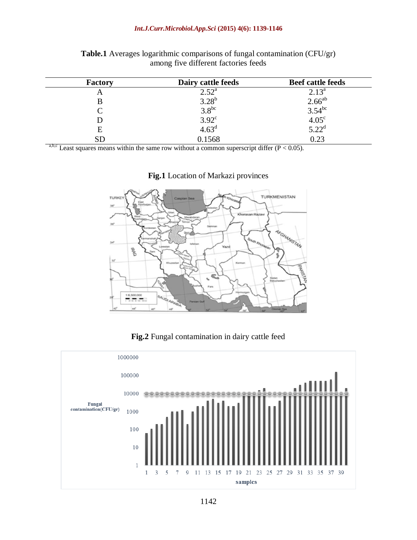#### *Int.J.Curr.Microbiol.App.Sci* **(2015) 4(6): 1139-1146**

| <b>Factory</b> | Dairy cattle feeds | <b>Beef cattle feeds</b>                                                    |
|----------------|--------------------|-----------------------------------------------------------------------------|
| A              | $2.52^{\rm a}$     | $2.13^{a}$                                                                  |
|                | $3.28^{b}$         |                                                                             |
|                | $3.8^{bc}$         |                                                                             |
|                | $3.92^{\circ}$     |                                                                             |
| Е              | 4.63 <sup>d</sup>  | $2.66^{ab}$<br>3.54 <sup>bc</sup><br>4.05 <sup>c</sup><br>5.22 <sup>d</sup> |
|                | 0.1568             | 0.23                                                                        |

#### **Table.1** Averages logarithmic comparisons of fungal contamination (CFU/gr) among five different factories feeds

a,b,c Least squares means within the same row without a common superscript differ  $(P < 0.05)$ .



#### **Fig.1** Location of Markazi provinces

#### **Fig.2** Fungal contamination in dairy cattle feed

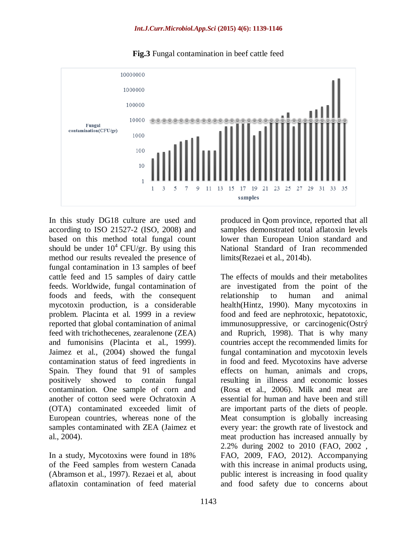

**Fig.3** Fungal contamination in beef cattle feed

In this study DG18 culture are used and according to ISO 21527-2 [\(ISO, 2008\)](#page-6-8) and based on this method total fungal count should be under  $10^4$  CFU/gr. By using this method our results revealed the presence of fungal contamination in 13 samples of beef cattle feed and 15 samples of dairy cattle feeds. Worldwide, fungal contamination of foods and feeds, with the consequent mycotoxin production, is a considerable problem. Placinta et al. 1999 in a review reported that global contamination of animal feed with trichothecenes, [zearalenone](http://www.google.com/search?biw=1371&bih=696&q=zearalenone&spell=1&sa=X&ei=UnJrU9WaHOzLsQTppICABA&ved=0CCIQBSgA) (ZEA) and fumonisins [\(Placinta et al., 1999\)](#page-6-0). Jaimez et al., (2004) showed the fungal contamination status of feed ingredients in Spain. They found that 91 of samples positively showed to contain fungal contamination. One sample of corn and another of cotton seed were Ochratoxin A (OTA) contaminated exceeded limit of European countries, whereas none of the samples contaminated with ZEA [\(Jaimez et](#page-6-9)  [al., 2004\)](#page-6-9).

In a study, Mycotoxins were found in 18% of the Feed samples from western Canada [\(Abramson et al., 1997\)](#page-5-7). Rezaei et al, about aflatoxin contamination of feed material produced in Qom province, reported that all samples demonstrated total aflatoxin levels lower than European Union standard and National Standard of Iran recommended limits[\(Rezaei et al., 2014b\)](#page-7-3).

The effects of moulds and their metabolites are investigated from the point of the relationship to human and animal health[\(Hintz, 1990\)](#page-6-10). Many mycotoxins in food and feed are nephrotoxic, hepatotoxic, immunosuppressive, or carcinogenic[\(Ostrý](#page-6-11)  [and Ruprich, 1998\)](#page-6-11). That is why many countries accept the recommended limits for fungal contamination and mycotoxin levels in food and feed. Mycotoxins have adverse effects on human, animals and crops, resulting in illness and economic losses [\(Rosa et al., 2006\)](#page-7-4). Milk and meat are essential for human and have been and still are important parts of the diets of people. Meat consumption is globally increasing every year: the growth rate of livestock and meat production has increased annually by 2.2% during 2002 to 2010 (FAO, [2002 ,](#page-6-12) [FAO, 2009,](#page-6-13) [FAO, 2012\)](#page-6-14). Accompanying with this increase in animal products using, public interest is increasing in food quality and food safety due to concerns about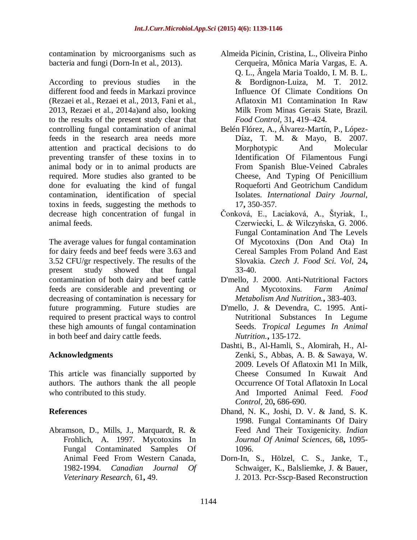contamination by microorganisms such as bacteria and fungi [\(Dorn-In et al., 2013\)](#page-5-8).

According to previous studies in the different food and feeds in Markazi province [\(Rezaei et al.,](#page-7-5) [Rezaei et al., 2013,](#page-7-6) [Fani et al.,](#page-6-15)  [2013,](#page-6-15) [Rezaei et al., 2014a\)](#page-6-16)and also, looking to the results of the present study clear that controlling fungal contamination of animal feeds in the research area needs more attention and practical decisions to do preventing transfer of these toxins in to animal body or in to animal products are required. More studies also granted to be done for evaluating the kind of fungal contamination, identification of special toxins in feeds, suggesting the methods to decrease high concentration of fungal in animal feeds.

The average values for fungal contamination for dairy feeds and beef feeds were 3.63 and 3.52 CFU/gr respectively. The results of the present study showed that fungal contamination of both dairy and beef cattle feeds are considerable and preventing or decreasing of contamination is necessary for future programming. Future studies are required to present practical ways to control these high amounts of fungal contamination in both beef and dairy cattle feeds.

## **Acknowledgments**

This article was financially supported by authors. The authors thank the all people who contributed to this study.

#### **References**

<span id="page-5-7"></span>Abramson, D., Mills, J., Marquardt, R. & Frohlich, A. 1997. Mycotoxins In Fungal Contaminated Samples Of Animal Feed From Western Canada, 1982-1994. *Canadian Journal Of Veterinary Research,* 61**,** 49.

- <span id="page-5-4"></span>Almeida Picinin, Cristina, L., Oliveira Pinho Cerqueira, Mônica Maria Vargas, E. A. Q. L., Ângela Maria Toaldo, I. M. B. L. & Bordignon-Luiza, M. T. 2012. Influence Of Climate Conditions On Aflatoxin M1 Contamination In Raw Milk From Minas Gerais State, Brazil. *Food Control,* 31**,** 419–424.
- <span id="page-5-6"></span>Belén Flórez, A., Álvarez-Martín, P., López-Díaz, T. M. & Mayo, B. 2007. Morphotypic And Molecular Identification Of Filamentous Fungi From Spanish Blue-Veined Cabrales Cheese, And Typing Of Penicillium Roqueforti And Geotrichum Candidum Isolates. *International Dairy Journal,* 17**,** 350-357.
- <span id="page-5-5"></span>Čonková, E., Laciaková, A., Štyriak, I., Czerwiecki, L. & Wilczyńska, G. 2006. Fungal Contamination And The Levels Of Mycotoxins (Don And Ota) In Cereal Samples From Poland And East Slovakia. *Czech J. Food Sci. Vol,* 24**,** 33-40.
- <span id="page-5-2"></span>D'mello, J. 2000. Anti-Nutritional Factors And Mycotoxins. *Farm Animal Metabolism And Nutrition.***,** 383-403.
- <span id="page-5-1"></span>D'mello, J. & Devendra, C. 1995. Anti-Nutritional Substances In Legume Seeds. *Tropical Legumes In Animal Nutrition.***,** 135-172.
- <span id="page-5-3"></span>Dashti, B., Al-Hamli, S., Alomirah, H., Al-Zenki, S., Abbas, A. B. & Sawaya, W. 2009. Levels Of Aflatoxin M1 In Milk, Cheese Consumed In Kuwait And Occurrence Of Total Aflatoxin In Local And Imported Animal Feed. *Food Control,* 20**,** 686-690.
- <span id="page-5-0"></span>Dhand, N. K., Joshi, D. V. & Jand, S. K. 1998. Fungal Contaminants Of Dairy Feed And Their Toxigenicity. *Indian Journal Of Animal Sciences,* 68**,** 1095- 1096.
- <span id="page-5-8"></span>Dorn-In, S., Hölzel, C. S., Janke, T., Schwaiger, K., Balsliemke, J. & Bauer, J. 2013. Pcr-Sscp-Based Reconstruction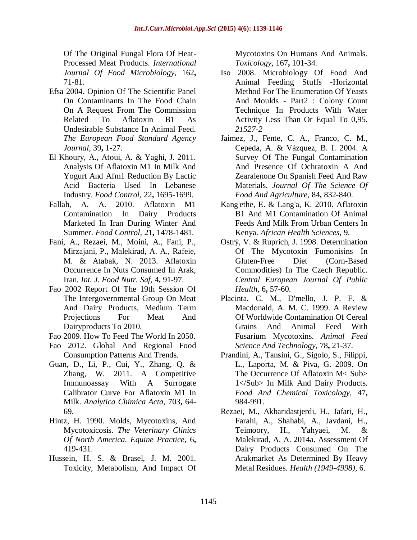Of The Original Fungal Flora Of Heat-Processed Meat Products. *International Journal Of Food Microbiology,* 162**,** 71-81.

- <span id="page-6-5"></span>Efsa 2004. Opinion Of The Scientific Panel On Contaminants In The Food Chain On A Request From The Commission Related To Aflatoxin B1 As Undesirable Substance In Animal Feed. *The European Food Standard Agency Journal,* 39**,** 1-27.
- <span id="page-6-2"></span>El Khoury, A., Atoui, A. & Yaghi, J. 2011. Analysis Of Aflatoxin M1 In Milk And Yogurt And Afm1 Reduction By Lactic Acid Bacteria Used In Lebanese Industry. *Food Control,* 22**,** 1695-1699.
- <span id="page-6-6"></span>Fallah, A. A. 2010. Aflatoxin M1 Contamination In Dairy Products Marketed In Iran During Winter And Summer. *Food Control,* 21**,** 1478-1481.
- <span id="page-6-15"></span>Fani, A., Rezaei, M., Moini, A., Fani, P., Mirzajani, P., Malekirad, A. A., Rafeie, M. & Atabak, N. 2013. Aflatoxin Occurrence In Nuts Consumed In Arak, Iran. *Int. J. Food Nutr. Saf,* 4**,** 91-97.
- <span id="page-6-12"></span>Fao 2002 Report Of The 19th Session Of The Intergovernmental Group On Meat And Dairy Products, Medium Term Projections For Meat And Dairyproducts To 2010.
- <span id="page-6-13"></span>Fao 2009. How To Feed The World In 2050.
- <span id="page-6-14"></span>Fao 2012. Global And Regional Food Consumption Patterns And Trends.
- <span id="page-6-3"></span>Guan, D., Li, P., Cui, Y., Zhang, Q. & Zhang, W. 2011. A Competitive Immunoassay With A Surrogate Calibrator Curve For Aflatoxin M1 In Milk. *Analytica Chimica Acta,* 703**,** 64- 69.
- <span id="page-6-10"></span>Hintz, H. 1990. Molds, Mycotoxins, And Mycotoxicosis. *The Veterinary Clinics Of North America. Equine Practice,* 6**,** 419-431.
- <span id="page-6-1"></span>Hussein, H. S. & Brasel, J. M. 2001. Toxicity, Metabolism, And Impact Of

Mycotoxins On Humans And Animals. *Toxicology,* 167**,** 101-34.

- <span id="page-6-8"></span>Iso 2008. Microbiology Of Food And Animal Feeding Stuffs -Horizontal Method For The Enumeration Of Yeasts And Moulds - Part2 : Colony Count Technique In Products With Water Activity Less Than Or Equal To 0,95. *21527-2*
- <span id="page-6-9"></span>Jaimez, J., Fente, C. A., Franco, C. M., Cepeda, A. & Vázquez, B. I. 2004. A Survey Of The Fungal Contamination And Presence Of Ochratoxin A And Zearalenone On Spanish Feed And Raw Materials. *Journal Of The Science Of Food And Agriculture,* 84**,** 832-840.
- <span id="page-6-4"></span>Kang'ethe, E. & Lang'a, K. 2010. Aflatoxin B1 And M1 Contamination Of Animal Feeds And Milk From Urban Centers In Kenya. *African Health Sciences,* 9.
- <span id="page-6-11"></span>Ostrý, V. & Ruprich, J. 1998. Determination Of The Mycotoxin Fumonisins In Gluten-Free Diet (Corn-Based Commodities) In The Czech Republic. *Central European Journal Of Public Health,* 6**,** 57-60.
- <span id="page-6-0"></span>Placinta, C. M., D'mello, J. P. F. & Macdonald, A. M. C. 1999. A Review Of Worldwide Contamination Of Cereal Grains And Animal Feed With Fusarium Mycotoxins. *Animal Feed Science And Technology,* 78**,** 21-37.
- <span id="page-6-7"></span>Prandini, A., Tansini, G., Sigolo, S., Filippi, L., Laporta, M. & Piva, G. 2009. On The Occurrence Of Aflatoxin M< Sub> 1</Sub> In Milk And Dairy Products. *Food And Chemical Toxicology,* 47**,** 984-991.
- <span id="page-6-16"></span>Rezaei, M., Akbaridastjerdi, H., Jafari, H., Farahi, A., Shahabi, A., Javdani, H., Teimoory, H., Yahyaei, M. & Malekirad, A. A. 2014a. Assessment Of Dairy Products Consumed On The Arakmarket As Determined By Heavy Metal Residues. *Health (1949-4998),* 6.